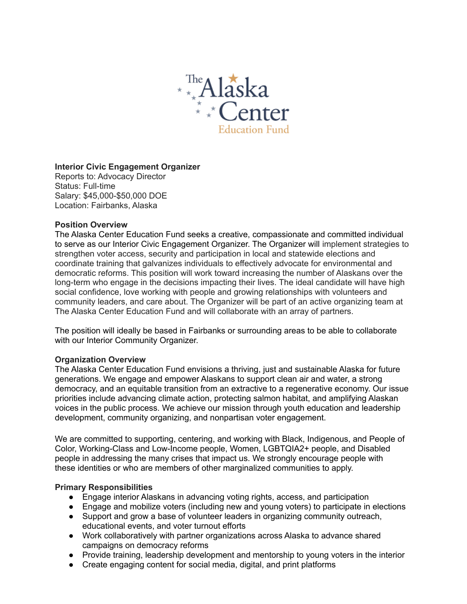

## **Interior Civic Engagement Organizer**

Reports to: Advocacy Director Status: Full-time Salary: \$45,000-\$50,000 DOE Location: Fairbanks, Alaska

#### **Position Overview**

The Alaska Center Education Fund seeks a creative, compassionate and committed individual to serve as our Interior Civic Engagement Organizer. The Organizer will implement strategies to strengthen voter access, security and participation in local and statewide elections and coordinate training that galvanizes individuals to effectively advocate for environmental and democratic reforms. This position will work toward increasing the number of Alaskans over the long-term who engage in the decisions impacting their lives. The ideal candidate will have high social confidence, love working with people and growing relationships with volunteers and community leaders, and care about. The Organizer will be part of an active organizing team at The Alaska Center Education Fund and will collaborate with an array of partners.

The position will ideally be based in Fairbanks or surrounding areas to be able to collaborate with our Interior Community Organizer.

#### **Organization Overview**

The Alaska Center Education Fund envisions a thriving, just and sustainable Alaska for future generations. We engage and empower Alaskans to support clean air and water, a strong democracy, and an equitable transition from an extractive to a regenerative economy. Our issue priorities include advancing climate action, protecting salmon habitat, and amplifying Alaskan voices in the public process. We achieve our mission through youth education and leadership development, community organizing, and nonpartisan voter engagement.

We are committed to supporting, centering, and working with Black, Indigenous, and People of Color, Working-Class and Low-Income people, Women, LGBTQIA2+ people, and Disabled people in addressing the many crises that impact us. We strongly encourage people with these identities or who are members of other marginalized communities to apply.

## **Primary Responsibilities**

- Engage interior Alaskans in advancing voting rights, access, and participation
- Engage and mobilize voters (including new and young voters) to participate in elections
- Support and grow a base of volunteer leaders in organizing community outreach, educational events, and voter turnout efforts
- Work collaboratively with partner organizations across Alaska to advance shared campaigns on democracy reforms
- Provide training, leadership development and mentorship to young voters in the interior
- Create engaging content for social media, digital, and print platforms